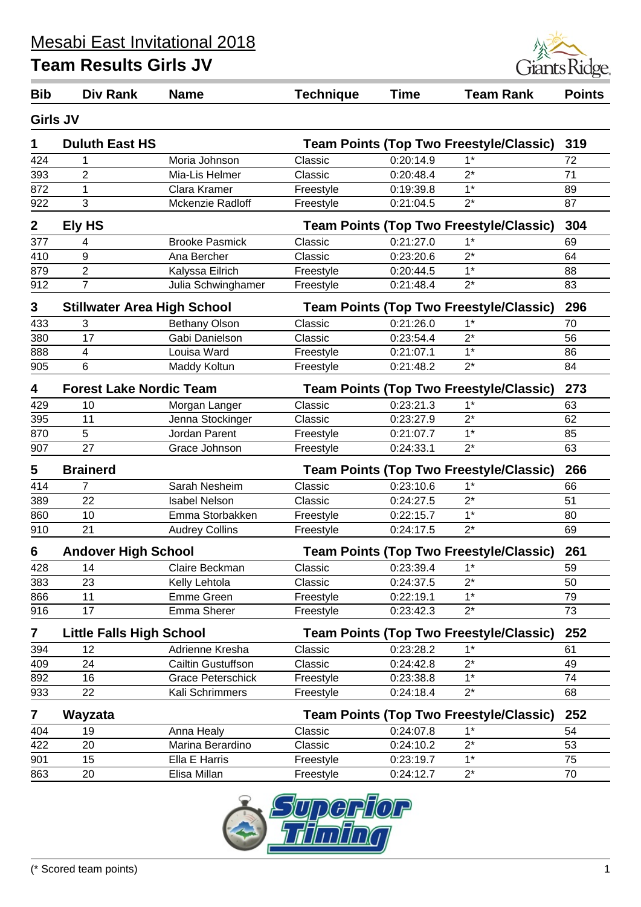

| <b>Girls JV</b><br><b>Duluth East HS</b><br><b>Team Points (Top Two Freestyle/Classic)</b><br>1<br>424<br>Moria Johnson<br>0:20:14.9<br>$1*$<br>Classic<br>1<br>$\overline{2}$<br>$2^*$<br>393<br>Mia-Lis Helmer<br>Classic<br>0:20:48.4<br>$1*$<br>872<br>Clara Kramer<br>1<br>0:19:39.8<br>Freestyle<br>3<br>$2^*$<br>922<br>Mckenzie Radloff<br>0:21:04.5<br>Freestyle<br><b>Ely HS</b><br>$\boldsymbol{2}$<br><b>Team Points (Top Two Freestyle/Classic)</b><br>377<br>0:21:27.0<br>$1^*$<br><b>Brooke Pasmick</b><br>Classic<br>4<br>$2^*$<br>410<br>9<br>0:23:20.6<br>Ana Bercher<br>Classic<br>$\overline{2}$<br>$1*$<br>879<br>Kalyssa Eilrich<br>0:20:44.5<br>Freestyle<br>$\overline{7}$<br>$2^*$<br>912<br>Julia Schwinghamer<br>Freestyle<br>0:21:48.4<br>3<br><b>Stillwater Area High School</b><br><b>Team Points (Top Two Freestyle/Classic)</b><br>433<br>3<br><b>Bethany Olson</b><br>0:21:26.0<br>$1*$<br>Classic<br>380<br>17<br>Gabi Danielson<br>$2^*$<br>Classic<br>0:23:54.4<br>$1*$<br>888<br>4<br>Louisa Ward<br>0:21:07.1<br>Freestyle | 319<br>72<br>71<br>89 |
|------------------------------------------------------------------------------------------------------------------------------------------------------------------------------------------------------------------------------------------------------------------------------------------------------------------------------------------------------------------------------------------------------------------------------------------------------------------------------------------------------------------------------------------------------------------------------------------------------------------------------------------------------------------------------------------------------------------------------------------------------------------------------------------------------------------------------------------------------------------------------------------------------------------------------------------------------------------------------------------------------------------------------------------------------------------|-----------------------|
|                                                                                                                                                                                                                                                                                                                                                                                                                                                                                                                                                                                                                                                                                                                                                                                                                                                                                                                                                                                                                                                                  |                       |
|                                                                                                                                                                                                                                                                                                                                                                                                                                                                                                                                                                                                                                                                                                                                                                                                                                                                                                                                                                                                                                                                  |                       |
|                                                                                                                                                                                                                                                                                                                                                                                                                                                                                                                                                                                                                                                                                                                                                                                                                                                                                                                                                                                                                                                                  |                       |
|                                                                                                                                                                                                                                                                                                                                                                                                                                                                                                                                                                                                                                                                                                                                                                                                                                                                                                                                                                                                                                                                  |                       |
|                                                                                                                                                                                                                                                                                                                                                                                                                                                                                                                                                                                                                                                                                                                                                                                                                                                                                                                                                                                                                                                                  |                       |
|                                                                                                                                                                                                                                                                                                                                                                                                                                                                                                                                                                                                                                                                                                                                                                                                                                                                                                                                                                                                                                                                  | 87                    |
|                                                                                                                                                                                                                                                                                                                                                                                                                                                                                                                                                                                                                                                                                                                                                                                                                                                                                                                                                                                                                                                                  | 304                   |
|                                                                                                                                                                                                                                                                                                                                                                                                                                                                                                                                                                                                                                                                                                                                                                                                                                                                                                                                                                                                                                                                  | 69                    |
|                                                                                                                                                                                                                                                                                                                                                                                                                                                                                                                                                                                                                                                                                                                                                                                                                                                                                                                                                                                                                                                                  | 64                    |
|                                                                                                                                                                                                                                                                                                                                                                                                                                                                                                                                                                                                                                                                                                                                                                                                                                                                                                                                                                                                                                                                  | 88                    |
|                                                                                                                                                                                                                                                                                                                                                                                                                                                                                                                                                                                                                                                                                                                                                                                                                                                                                                                                                                                                                                                                  | 83                    |
|                                                                                                                                                                                                                                                                                                                                                                                                                                                                                                                                                                                                                                                                                                                                                                                                                                                                                                                                                                                                                                                                  | 296                   |
|                                                                                                                                                                                                                                                                                                                                                                                                                                                                                                                                                                                                                                                                                                                                                                                                                                                                                                                                                                                                                                                                  | 70                    |
|                                                                                                                                                                                                                                                                                                                                                                                                                                                                                                                                                                                                                                                                                                                                                                                                                                                                                                                                                                                                                                                                  | 56                    |
|                                                                                                                                                                                                                                                                                                                                                                                                                                                                                                                                                                                                                                                                                                                                                                                                                                                                                                                                                                                                                                                                  | 86                    |
| $\overline{6}$<br>$2^*$<br>905<br>Maddy Koltun<br>0:21:48.2<br>Freestyle                                                                                                                                                                                                                                                                                                                                                                                                                                                                                                                                                                                                                                                                                                                                                                                                                                                                                                                                                                                         | 84                    |
| <b>Forest Lake Nordic Team</b><br><b>Team Points (Top Two Freestyle/Classic)</b><br>4                                                                                                                                                                                                                                                                                                                                                                                                                                                                                                                                                                                                                                                                                                                                                                                                                                                                                                                                                                            | 273                   |
| 0:23:21.3<br>$1^*$<br>429<br>10<br>Morgan Langer<br>Classic                                                                                                                                                                                                                                                                                                                                                                                                                                                                                                                                                                                                                                                                                                                                                                                                                                                                                                                                                                                                      | 63                    |
| 395<br>$2^*$<br>11<br>Jenna Stockinger<br>Classic<br>0:23:27.9                                                                                                                                                                                                                                                                                                                                                                                                                                                                                                                                                                                                                                                                                                                                                                                                                                                                                                                                                                                                   | 62                    |
| 5<br>$1*$<br>870<br>Jordan Parent<br>0:21:07.7<br>Freestyle                                                                                                                                                                                                                                                                                                                                                                                                                                                                                                                                                                                                                                                                                                                                                                                                                                                                                                                                                                                                      | 85                    |
| 27<br>Grace Johnson<br>$2^*$<br>907<br>0:24:33.1<br>Freestyle                                                                                                                                                                                                                                                                                                                                                                                                                                                                                                                                                                                                                                                                                                                                                                                                                                                                                                                                                                                                    | 63                    |
| 5<br><b>Brainerd</b><br><b>Team Points (Top Two Freestyle/Classic)</b>                                                                                                                                                                                                                                                                                                                                                                                                                                                                                                                                                                                                                                                                                                                                                                                                                                                                                                                                                                                           | 266                   |
| 414<br>$\overline{7}$<br>Sarah Nesheim<br>Classic<br>0:23:10.6<br>$1^*$                                                                                                                                                                                                                                                                                                                                                                                                                                                                                                                                                                                                                                                                                                                                                                                                                                                                                                                                                                                          | 66                    |
| $2^*$<br>22<br>389<br><b>Isabel Nelson</b><br>Classic<br>0:24:27.5                                                                                                                                                                                                                                                                                                                                                                                                                                                                                                                                                                                                                                                                                                                                                                                                                                                                                                                                                                                               | 51                    |
| 860<br>10<br>$1*$<br>Emma Storbakken<br>0:22:15.7<br>Freestyle                                                                                                                                                                                                                                                                                                                                                                                                                                                                                                                                                                                                                                                                                                                                                                                                                                                                                                                                                                                                   | 80                    |
| 21<br>$2^*$<br>910<br><b>Audrey Collins</b><br>Freestyle<br>0:24:17.5                                                                                                                                                                                                                                                                                                                                                                                                                                                                                                                                                                                                                                                                                                                                                                                                                                                                                                                                                                                            | 69                    |
| <b>Andover High School</b><br><b>Team Points (Top Two Freestyle/Classic)</b><br>6                                                                                                                                                                                                                                                                                                                                                                                                                                                                                                                                                                                                                                                                                                                                                                                                                                                                                                                                                                                | 261                   |
| 428<br>14<br>Claire Beckman<br>Classic<br>0:23:39.4<br>1*                                                                                                                                                                                                                                                                                                                                                                                                                                                                                                                                                                                                                                                                                                                                                                                                                                                                                                                                                                                                        | 59                    |
| $2^*$<br>383<br>23<br>Classic<br>0:24:37.5<br>Kelly Lehtola                                                                                                                                                                                                                                                                                                                                                                                                                                                                                                                                                                                                                                                                                                                                                                                                                                                                                                                                                                                                      | 50                    |
| 11<br>Emme Green<br>0:22:19.1<br>$1*$<br>866<br>Freestyle                                                                                                                                                                                                                                                                                                                                                                                                                                                                                                                                                                                                                                                                                                                                                                                                                                                                                                                                                                                                        | 79                    |
| 17<br>$2^*$<br>916<br><b>Emma Sherer</b><br>0:23:42.3<br>Freestyle                                                                                                                                                                                                                                                                                                                                                                                                                                                                                                                                                                                                                                                                                                                                                                                                                                                                                                                                                                                               | 73                    |
| 7<br><b>Little Falls High School</b><br><b>Team Points (Top Two Freestyle/Classic)</b>                                                                                                                                                                                                                                                                                                                                                                                                                                                                                                                                                                                                                                                                                                                                                                                                                                                                                                                                                                           | 252                   |
| 0:23:28.2<br>$1^*$<br>Adrienne Kresha<br>Classic<br>394<br>12                                                                                                                                                                                                                                                                                                                                                                                                                                                                                                                                                                                                                                                                                                                                                                                                                                                                                                                                                                                                    | 61                    |
| 24<br>$2^*$<br>409<br>Cailtin Gustuffson<br>0:24:42.8<br>Classic                                                                                                                                                                                                                                                                                                                                                                                                                                                                                                                                                                                                                                                                                                                                                                                                                                                                                                                                                                                                 | 49                    |
| $1^*$<br>892<br>16<br><b>Grace Peterschick</b><br>0:23:38.8<br>Freestyle                                                                                                                                                                                                                                                                                                                                                                                                                                                                                                                                                                                                                                                                                                                                                                                                                                                                                                                                                                                         | 74                    |
| 933<br>22<br>Kali Schrimmers<br>0:24:18.4<br>$2^*$<br>Freestyle                                                                                                                                                                                                                                                                                                                                                                                                                                                                                                                                                                                                                                                                                                                                                                                                                                                                                                                                                                                                  | 68                    |
| 7<br>Wayzata<br><b>Team Points (Top Two Freestyle/Classic)</b>                                                                                                                                                                                                                                                                                                                                                                                                                                                                                                                                                                                                                                                                                                                                                                                                                                                                                                                                                                                                   | 252                   |
| 0:24:07.8<br>$1*$<br>404<br>19<br>Anna Healy<br>Classic                                                                                                                                                                                                                                                                                                                                                                                                                                                                                                                                                                                                                                                                                                                                                                                                                                                                                                                                                                                                          | 54                    |
| 20<br>Classic<br>0:24:10.2<br>$2^*$<br>422<br>Marina Berardino                                                                                                                                                                                                                                                                                                                                                                                                                                                                                                                                                                                                                                                                                                                                                                                                                                                                                                                                                                                                   | 53                    |
| 901<br>$1^*$<br>15<br>Ella E Harris<br>0:23:19.7<br>Freestyle                                                                                                                                                                                                                                                                                                                                                                                                                                                                                                                                                                                                                                                                                                                                                                                                                                                                                                                                                                                                    | 75                    |
| $2^*$<br>863<br>20<br>Elisa Millan<br>0:24:12.7<br>Freestyle                                                                                                                                                                                                                                                                                                                                                                                                                                                                                                                                                                                                                                                                                                                                                                                                                                                                                                                                                                                                     | 70                    |

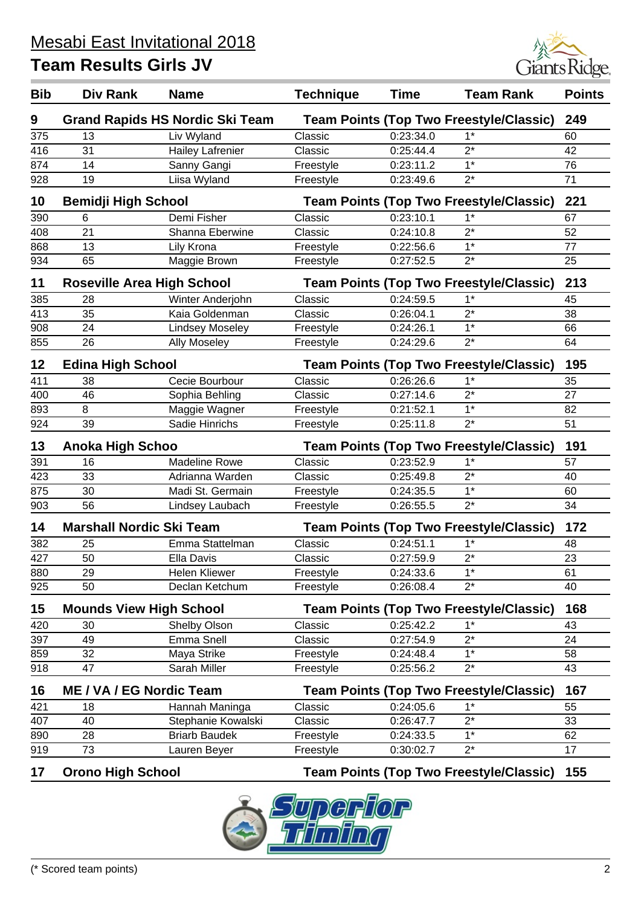

| <b>Bib</b> | <b>Div Rank</b>                   | <b>Name</b>                            | <b>Technique</b> | <b>Time</b> | <b>Team Rank</b>                               | <b>Points</b> |
|------------|-----------------------------------|----------------------------------------|------------------|-------------|------------------------------------------------|---------------|
| 9          |                                   | <b>Grand Rapids HS Nordic Ski Team</b> |                  |             | <b>Team Points (Top Two Freestyle/Classic)</b> | 249           |
| 375        | 13                                | Liv Wyland                             | Classic          | 0:23:34.0   | $1*$                                           | 60            |
| 416        | 31                                | <b>Hailey Lafrenier</b>                | Classic          | 0:25:44.4   | $2^*$                                          | 42            |
| 874        | 14                                | Sanny Gangi                            | Freestyle        | 0:23:11.2   | $1*$                                           | 76            |
| 928        | 19                                | Liisa Wyland                           | Freestyle        | 0:23:49.6   | $2^*$                                          | 71            |
| 10         | <b>Bemidji High School</b>        |                                        |                  |             | <b>Team Points (Top Two Freestyle/Classic)</b> | 221           |
| 390        | 6                                 | Demi Fisher                            | Classic          | 0:23:10.1   | $1*$                                           | 67            |
| 408        | 21                                | Shanna Eberwine                        | Classic          | 0:24:10.8   | $2^*$                                          | 52            |
| 868        | 13                                | Lily Krona                             | Freestyle        | 0:22:56.6   | $\overline{1^*}$                               | 77            |
| 934        | 65                                | Maggie Brown                           | Freestyle        | 0:27:52.5   | $2^*$                                          | 25            |
| 11         | <b>Roseville Area High School</b> |                                        |                  |             | <b>Team Points (Top Two Freestyle/Classic)</b> | 213           |
| 385        | 28                                | Winter Anderjohn                       | Classic          | 0:24:59.5   | $1*$                                           | 45            |
| 413        | 35                                | Kaia Goldenman                         | Classic          | 0:26:04.1   | $2^*$                                          | 38            |
| 908        | 24                                | <b>Lindsey Moseley</b>                 | Freestyle        | 0:24:26.1   | $1*$                                           | 66            |
| 855        | 26                                | <b>Ally Moseley</b>                    | Freestyle        | 0:24:29.6   | $2^*$                                          | 64            |
| 12         | <b>Edina High School</b>          |                                        |                  |             | <b>Team Points (Top Two Freestyle/Classic)</b> | 195           |
| 411        | 38                                | Cecie Bourbour                         | Classic          | 0:26:26.6   | $1*$                                           | 35            |
| 400        | 46                                | Sophia Behling                         | Classic          | 0:27:14.6   | $2^*$                                          | 27            |
| 893        | 8                                 | Maggie Wagner                          | Freestyle        | 0:21:52.1   | $1*$                                           | 82            |
| 924        | 39                                | Sadie Hinrichs                         | Freestyle        | 0:25:11.8   | $2^*$                                          | 51            |
| 13         | <b>Anoka High Schoo</b>           |                                        |                  |             | <b>Team Points (Top Two Freestyle/Classic)</b> | 191           |
| 391        | 16                                | <b>Madeline Rowe</b>                   | Classic          | 0:23:52.9   | $1*$                                           | 57            |
| 423        | 33                                | Adrianna Warden                        | Classic          | 0:25:49.8   | $2^*$                                          | 40            |
| 875        | 30                                | Madi St. Germain                       | Freestyle        | 0:24:35.5   | $1*$                                           | 60            |
| 903        | 56                                | Lindsey Laubach                        | Freestyle        | 0:26:55.5   | $2^*$                                          | 34            |
| 14         | <b>Marshall Nordic Ski Team</b>   |                                        |                  |             | <b>Team Points (Top Two Freestyle/Classic)</b> | 172           |
| 382        | 25                                | Emma Stattelman                        | Classic          | 0:24:51.1   | $1*$                                           | 48            |
| 427        | 50                                | <b>Ella Davis</b>                      | Classic          | 0:27:59.9   | $2^*$                                          | 23            |
| 880        | 29                                | <b>Helen Kliewer</b>                   | Freestyle        | 0:24:33.6   | $1^*$                                          | 61            |
| 925        | 50                                | Declan Ketchum                         | Freestyle        | 0:26:08.4   | $2^*$                                          | 40            |
| 15         | <b>Mounds View High School</b>    |                                        |                  |             | <b>Team Points (Top Two Freestyle/Classic)</b> | 168           |
| 420        | 30                                | Shelby Olson                           | Classic          | 0:25:42.2   | $1*$                                           | 43            |
| 397        | 49                                | Emma Snell                             | Classic          | 0:27:54.9   | $2^*$                                          | 24            |
| 859        | 32                                | Maya Strike                            | Freestyle        | 0:24:48.4   | $1*$                                           | 58            |
| 918        | 47                                | Sarah Miller                           | Freestyle        | 0:25:56.2   | $2^*$                                          | 43            |
| 16         | <b>ME / VA / EG Nordic Team</b>   |                                        |                  |             | <b>Team Points (Top Two Freestyle/Classic)</b> | 167           |
| 421        | 18                                | Hannah Maninga                         | Classic          | 0:24:05.6   | $1*$                                           | 55            |
| 407        | 40                                | Stephanie Kowalski                     | Classic          | 0:26:47.7   | $2^*$                                          | 33            |
| 890        | 28                                | <b>Briarb Baudek</b>                   | Freestyle        | 0:24:33.5   | $1*$                                           | 62            |
| 919        | 73                                | Lauren Beyer                           | Freestyle        | 0:30:02.7   | $2^*$                                          | 17            |

**17 Orono High School Team Points (Top Two Freestyle/Classic) 155**

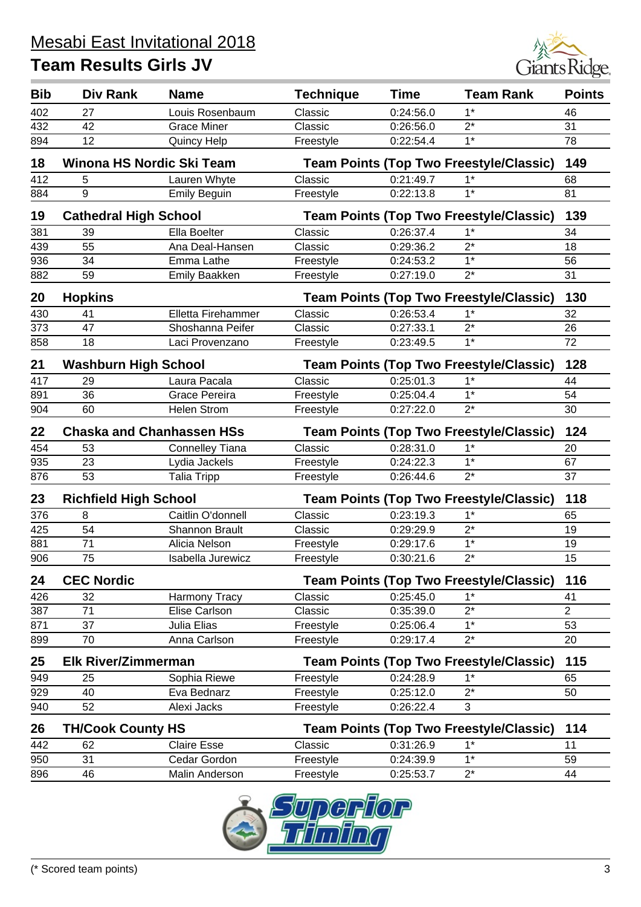

| <b>Bib</b> | Div Rank                                                                       | <b>Name</b>                      | <b>Technique</b> | <b>Time</b> | <b>Team Rank</b>                               | <b>Points</b>  |
|------------|--------------------------------------------------------------------------------|----------------------------------|------------------|-------------|------------------------------------------------|----------------|
| 402        | 27                                                                             | Louis Rosenbaum                  | Classic          | 0:24:56.0   | $1^*$                                          | 46             |
| 432        | 42                                                                             | <b>Grace Miner</b>               | Classic          | 0:26:56.0   | $2^*$                                          | 31             |
| 894        | 12                                                                             | <b>Quincy Help</b>               | Freestyle        | 0:22:54.4   | $1*$                                           | 78             |
| 18         | Winona HS Nordic Ski Team                                                      |                                  |                  |             | <b>Team Points (Top Two Freestyle/Classic)</b> | 149            |
| 412        | 5                                                                              | Lauren Whyte                     | Classic          | 0:21:49.7   | $1*$                                           | 68             |
| 884        | 9                                                                              | <b>Emily Beguin</b>              | Freestyle        | 0:22:13.8   | $1*$                                           | 81             |
| 19         | <b>Cathedral High School</b>                                                   |                                  |                  |             | <b>Team Points (Top Two Freestyle/Classic)</b> | 139            |
| 381        | 39                                                                             | Ella Boelter                     | Classic          | 0:26:37.4   | $1^*$                                          | 34             |
| 439        | 55                                                                             | Ana Deal-Hansen                  | Classic          | 0:29:36.2   | $2^*$                                          | 18             |
| 936        | 34                                                                             | Emma Lathe                       | Freestyle        | 0:24:53.2   | $1*$                                           | 56             |
| 882        | 59                                                                             | <b>Emily Baakken</b>             | Freestyle        | 0:27:19.0   | $2^*$                                          | 31             |
| 20         | <b>Hopkins</b>                                                                 |                                  |                  |             | <b>Team Points (Top Two Freestyle/Classic)</b> | 130            |
| 430        | 41                                                                             | Elletta Firehammer               | Classic          | 0:26:53.4   | $1*$                                           | 32             |
| 373        | 47                                                                             | Shoshanna Peifer                 | Classic          | 0:27:33.1   | $2^*$                                          | 26             |
| 858        | 18                                                                             | Laci Provenzano                  | Freestyle        | 0:23:49.5   | $1*$                                           | 72             |
| 21         | <b>Washburn High School</b>                                                    |                                  |                  |             | <b>Team Points (Top Two Freestyle/Classic)</b> | 128            |
| 417        | 29                                                                             | Laura Pacala                     | Classic          | 0:25:01.3   | $1*$                                           | 44             |
| 891        | 36                                                                             | Grace Pereira                    | Freestyle        | 0:25:04.4   | $1*$                                           | 54             |
| 904        | 60                                                                             | <b>Helen Strom</b>               | Freestyle        | 0:27:22.0   | $2^*$                                          | 30             |
| 22         |                                                                                | <b>Chaska and Chanhassen HSs</b> |                  |             | <b>Team Points (Top Two Freestyle/Classic)</b> | 124            |
| 454        | 53                                                                             | <b>Connelley Tiana</b>           | Classic          | 0:28:31.0   | $1*$                                           | 20             |
| 935        | 23                                                                             | Lydia Jackels                    | Freestyle        | 0:24:22.3   | $1*$                                           | 67             |
| 876        | 53                                                                             | <b>Talia Tripp</b>               | Freestyle        | 0:26:44.6   | $2^*$                                          | 37             |
| 23         | <b>Richfield High School</b><br><b>Team Points (Top Two Freestyle/Classic)</b> |                                  |                  |             | 118                                            |                |
| 376        | 8                                                                              | Caitlin O'donnell                | Classic          | 0:23:19.3   | $1*$                                           | 65             |
| 425        | 54                                                                             | <b>Shannon Brault</b>            | Classic          | 0:29:29.9   | $2^*$                                          | 19             |
| 881        | 71                                                                             | Alicia Nelson                    | Freestyle        | 0:29:17.6   | $1*$                                           | 19             |
| 906        | 75                                                                             | Isabella Jurewicz                | Freestyle        | 0:30:21.6   | $2^*$                                          | 15             |
| 24         | <b>CEC Nordic</b>                                                              |                                  |                  |             | <b>Team Points (Top Two Freestyle/Classic)</b> | 116            |
| 426        | 32                                                                             | Harmony Tracy                    | Classic          | 0:25:45.0   | $1^*$                                          | 41             |
| 387        | 71                                                                             | Elise Carlson                    | Classic          | 0:35:39.0   | $2^*$                                          | $\overline{2}$ |
| 871        | 37                                                                             | Julia Elias                      | Freestyle        | 0:25:06.4   | $1*$                                           | 53             |
| 899        | 70                                                                             | Anna Carlson                     | Freestyle        | 0:29:17.4   | $2^*$                                          | 20             |
| 25         | <b>Elk River/Zimmerman</b>                                                     |                                  |                  |             | <b>Team Points (Top Two Freestyle/Classic)</b> | 115            |
| 949        | 25                                                                             | Sophia Riewe                     | Freestyle        | 0:24:28.9   | $1^*$                                          | 65             |
| 929        | 40                                                                             | Eva Bednarz                      | Freestyle        | 0:25:12.0   | $2^*$                                          | 50             |
| 940        | 52                                                                             | Alexi Jacks                      | Freestyle        | 0:26:22.4   | 3                                              |                |
| 26         | <b>TH/Cook County HS</b>                                                       |                                  |                  |             | <b>Team Points (Top Two Freestyle/Classic)</b> | 114            |
| 442        | 62                                                                             | <b>Claire Esse</b>               | Classic          | 0:31:26.9   | $1*$                                           | 11             |
| 950        | 31                                                                             | Cedar Gordon                     | Freestyle        | 0:24:39.9   | $1*$                                           | 59             |
| 896        | 46                                                                             | Malin Anderson                   | Freestyle        | 0:25:53.7   | $2^*$                                          | 44             |

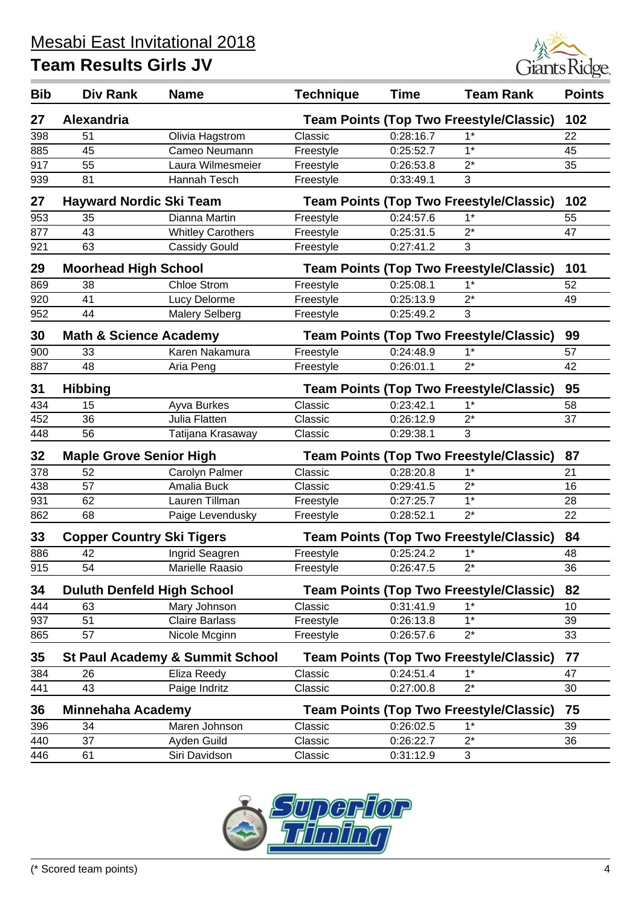

| <b>Bib</b> | Div Rank                          | <b>Name</b>                                | <b>Technique</b> | <b>Time</b> | <b>Team Rank</b>                               | <b>Points</b> |
|------------|-----------------------------------|--------------------------------------------|------------------|-------------|------------------------------------------------|---------------|
| 27         | <b>Alexandria</b>                 |                                            |                  |             | <b>Team Points (Top Two Freestyle/Classic)</b> | 102           |
| 398        | 51                                | Olivia Hagstrom                            | Classic          | 0:28:16.7   | $1^*$                                          | 22            |
| 885        | 45                                | Cameo Neumann                              | Freestyle        | 0:25:52.7   | $1*$                                           | 45            |
| 917        | 55                                | Laura Wilmesmeier                          | Freestyle        | 0:26:53.8   | $2^*$                                          | 35            |
| 939        | 81                                | Hannah Tesch                               | Freestyle        | 0:33:49.1   | 3                                              |               |
| 27         | <b>Hayward Nordic Ski Team</b>    |                                            |                  |             | <b>Team Points (Top Two Freestyle/Classic)</b> | 102           |
| 953        | 35                                | Dianna Martin                              | Freestyle        | 0:24:57.6   | $1^*$                                          | 55            |
| 877        | 43                                | <b>Whitley Carothers</b>                   | Freestyle        | 0:25:31.5   | $2^*$                                          | 47            |
| 921        | 63                                | Cassidy Gould                              | Freestyle        | 0:27:41.2   | 3                                              |               |
| 29         | <b>Moorhead High School</b>       |                                            |                  |             | <b>Team Points (Top Two Freestyle/Classic)</b> | 101           |
| 869        | 38                                | <b>Chloe Strom</b>                         | Freestyle        | 0:25:08.1   | $1*$                                           | 52            |
| 920        | 41                                | Lucy Delorme                               | Freestyle        | 0:25:13.9   | $2^*$                                          | 49            |
| 952        | 44                                | <b>Malery Selberg</b>                      | Freestyle        | 0:25:49.2   | 3                                              |               |
| 30         | <b>Math &amp; Science Academy</b> |                                            |                  |             | <b>Team Points (Top Two Freestyle/Classic)</b> | 99            |
| 900        | 33                                | Karen Nakamura                             | Freestyle        | 0:24:48.9   | $1*$                                           | 57            |
| 887        | 48                                | Aria Peng                                  | Freestyle        | 0:26:01.1   | $2^*$                                          | 42            |
| 31         | <b>Hibbing</b>                    |                                            |                  |             | <b>Team Points (Top Two Freestyle/Classic)</b> | 95            |
| 434        | 15                                | Ayva Burkes                                | Classic          | 0:23:42.1   | $1*$                                           | 58            |
| 452        | 36                                | Julia Flatten                              | Classic          | 0:26:12.9   | $2^*$                                          | 37            |
| 448        | 56                                | Tatijana Krasaway                          | Classic          | 0:29:38.1   | 3                                              |               |
| 32         | <b>Maple Grove Senior High</b>    |                                            |                  |             | <b>Team Points (Top Two Freestyle/Classic)</b> | 87            |
| 378        | 52                                | Carolyn Palmer                             | Classic          | 0:28:20.8   | $1*$                                           | 21            |
| 438        | 57                                | Amalia Buck                                | Classic          | 0:29:41.5   | $2^*$                                          | 16            |
| 931        | 62                                | Lauren Tillman                             | Freestyle        | 0:27:25.7   | $1*$                                           | 28            |
| 862        | 68                                | Paige Levendusky                           | Freestyle        | 0:28:52.1   | $2^*$                                          | 22            |
| 33         | <b>Copper Country Ski Tigers</b>  |                                            |                  |             | <b>Team Points (Top Two Freestyle/Classic)</b> | 84            |
| 886        | 42                                | Ingrid Seagren                             | Freestyle        | 0:25:24.2   | $1*$                                           | 48            |
| 915        | 54                                | Marielle Raasio                            | Freestyle        | 0:26:47.5   | $2^*$                                          | 36            |
| 34         | <b>Duluth Denfeld High School</b> |                                            |                  |             | <b>Team Points (Top Two Freestyle/Classic)</b> | 82            |
| 444        | 63                                | Mary Johnson                               | Classic          | 0:31:41.9   | $1*$                                           | 10            |
| 937        | 51                                | <b>Claire Barlass</b>                      | Freestyle        | 0:26:13.8   | $1*$                                           | 39            |
| 865        | 57                                | Nicole Mcginn                              | Freestyle        | 0:26:57.6   | $2^*$                                          | 33            |
| 35         |                                   | <b>St Paul Academy &amp; Summit School</b> |                  |             | <b>Team Points (Top Two Freestyle/Classic)</b> | 77            |
| 384        | 26                                | Eliza Reedy                                | Classic          | 0:24:51.4   | $1^*$                                          | 47            |
| 441        | 43                                | Paige Indritz                              | Classic          | 0:27:00.8   | $2^*$                                          | 30            |
| 36         | <b>Minnehaha Academy</b>          |                                            |                  |             | <b>Team Points (Top Two Freestyle/Classic)</b> | 75            |
| 396        | 34                                | Maren Johnson                              | Classic          | 0:26:02.5   | $1*$                                           | 39            |
| 440        | 37                                | Ayden Guild                                | Classic          | 0:26:22.7   | $2^*$                                          | 36            |
| 446        | 61                                | Siri Davidson                              | Classic          | 0:31:12.9   | 3                                              |               |

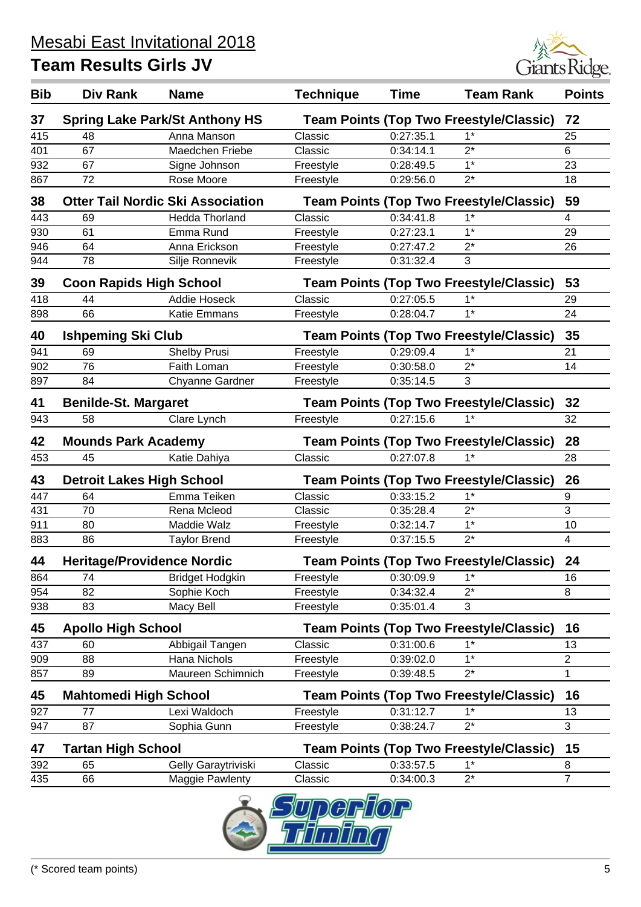

| <b>Bib</b> | Div Rank                          | <b>Name</b>                              | <b>Technique</b> | <b>Time</b> | <b>Team Rank</b>                               | <b>Points</b>  |
|------------|-----------------------------------|------------------------------------------|------------------|-------------|------------------------------------------------|----------------|
| 37         |                                   | <b>Spring Lake Park/St Anthony HS</b>    |                  |             | <b>Team Points (Top Two Freestyle/Classic)</b> | 72             |
| 415        | 48                                | Anna Manson                              | Classic          | 0:27:35.1   | $1*$                                           | 25             |
| 401        | 67                                | Maedchen Friebe                          | Classic          | 0:34:14.1   | $2^*$                                          | 6              |
| 932        | 67                                | Signe Johnson                            | Freestyle        | 0:28:49.5   | $1*$                                           | 23             |
| 867        | 72                                | Rose Moore                               | Freestyle        | 0:29:56.0   | $2^*$                                          | 18             |
| 38         |                                   | <b>Otter Tail Nordic Ski Association</b> |                  |             | <b>Team Points (Top Two Freestyle/Classic)</b> | 59             |
| 443        | 69                                | <b>Hedda Thorland</b>                    | Classic          | 0:34:41.8   | $1*$                                           | 4              |
| 930        | 61                                | Emma Rund                                | Freestyle        | 0:27:23.1   | $1*$                                           | 29             |
| 946        | 64                                | Anna Erickson                            | Freestyle        | 0:27:47.2   | $2^*$                                          | 26             |
| 944        | 78                                | Silje Ronnevik                           | Freestyle        | 0:31:32.4   | 3                                              |                |
| 39         | <b>Coon Rapids High School</b>    |                                          |                  |             | <b>Team Points (Top Two Freestyle/Classic)</b> | 53             |
| 418        | 44                                | <b>Addie Hoseck</b>                      | Classic          | 0:27:05.5   | $1*$                                           | 29             |
| 898        | 66                                | Katie Emmans                             | Freestyle        | 0:28:04.7   | $1^*$                                          | 24             |
| 40         | <b>Ishpeming Ski Club</b>         |                                          |                  |             | <b>Team Points (Top Two Freestyle/Classic)</b> | 35             |
| 941        | 69                                | <b>Shelby Prusi</b>                      | Freestyle        | 0:29:09.4   | $1^*$                                          | 21             |
| 902        | 76                                | Faith Loman                              | Freestyle        | 0:30:58.0   | $2^*$                                          | 14             |
| 897        | 84                                | <b>Chyanne Gardner</b>                   | Freestyle        | 0:35:14.5   | 3                                              |                |
| 41         | <b>Benilde-St. Margaret</b>       |                                          |                  |             | <b>Team Points (Top Two Freestyle/Classic)</b> | 32             |
| 943        | 58                                | Clare Lynch                              | Freestyle        | 0:27:15.6   | $1*$                                           | 32             |
| 42         | <b>Mounds Park Academy</b>        |                                          |                  |             | <b>Team Points (Top Two Freestyle/Classic)</b> | 28             |
| 453        | 45                                | Katie Dahiya                             | Classic          | 0:27:07.8   | $1^*$                                          | 28             |
| 43         | <b>Detroit Lakes High School</b>  |                                          |                  |             | <b>Team Points (Top Two Freestyle/Classic)</b> | 26             |
| 447        | 64                                | Emma Teiken                              | Classic          | 0:33:15.2   | $1^*$                                          | 9              |
| 431        | 70                                | Rena Mcleod                              | Classic          | 0:35:28.4   | $2^*$                                          | 3              |
| 911        | 80                                | Maddie Walz                              | Freestyle        | 0:32:14.7   | $1*$                                           | 10             |
| 883        | 86                                | <b>Taylor Brend</b>                      | Freestyle        | 0:37:15.5   | $2^*$                                          | $\overline{4}$ |
| 44         | <b>Heritage/Providence Nordic</b> |                                          |                  |             | <b>Team Points (Top Two Freestyle/Classic)</b> | 24             |
| 864        | 74                                | <b>Bridget Hodgkin</b>                   | Freestyle        | 0:30:09.9   | $1^*$                                          | 16             |
| 954        | 82                                | Sophie Koch                              | Freestyle        | 0:34:32.4   | $2^*$                                          | 8              |
| 938        | 83                                | Macy Bell                                | Freestyle        | 0:35:01.4   | 3                                              |                |
| 45         | <b>Apollo High School</b>         |                                          |                  |             | <b>Team Points (Top Two Freestyle/Classic)</b> | 16             |
| 437        | 60                                | Abbigail Tangen                          | Classic          | 0:31:00.6   | $1^*$                                          | 13             |
| 909        | 88                                | Hana Nichols                             | Freestyle        | 0:39:02.0   | $1*$                                           | 2              |
| 857        | 89                                | Maureen Schimnich                        | Freestyle        | 0:39:48.5   | $2^*$                                          | 1              |
| 45         | <b>Mahtomedi High School</b>      |                                          |                  |             | <b>Team Points (Top Two Freestyle/Classic)</b> | 16             |
| 927        | 77                                | Lexi Waldoch                             | Freestyle        | 0:31:12.7   | $1*$                                           | 13             |
| 947        | 87                                | Sophia Gunn                              | Freestyle        | 0:38:24.7   | $2^*$                                          | 3              |
| 47         | <b>Tartan High School</b>         |                                          |                  |             | <b>Team Points (Top Two Freestyle/Classic)</b> | 15             |
| 392        | 65                                | Gelly Garaytriviski                      | Classic          | 0:33:57.5   | $1^*$                                          | 8              |
| 435        | 66                                | <b>Maggie Pawlenty</b>                   | Classic          | 0:34:00.3   | $2^*$                                          | $\overline{7}$ |
|            |                                   | O                                        |                  | $F\sim$     |                                                |                |